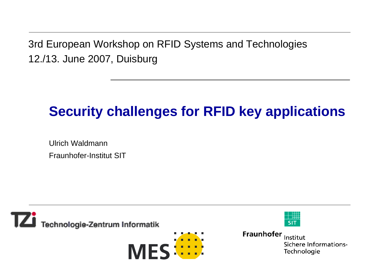3rd European Workshop on RFID Systems and Technologies 12./13. June 2007, Duisburg

# **Security challenges for RFID key applications**

Ulrich WaldmannFraunhofer-Institut SIT

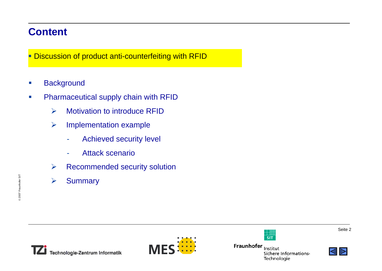### **Content**

**Discussion of product anti-counterfeiting with RFID** 

- $\mathcal{L}_{\mathcal{A}}$ **Background**
- $\mathcal{L}_{\mathcal{A}}$  Pharmaceutical supply chain with RFID
	- ¾Motivation to introduce RFID
	- ¾ Implementation example
		- -Achieved security level
		- -Attack scenario
	- ¾Recommended security solution
	- ¾**Summary**





Fraunhofer Institut Sichere Informations-Technologie

 $\frac{1}{\mathsf{SIT}}$ 

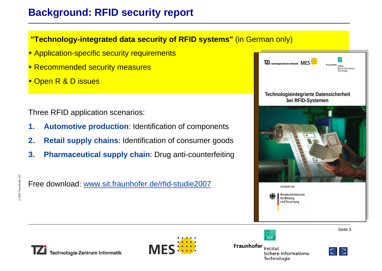## **Background: RFID security report**

**"Technology-integrated data security of RFID systems"** (in German only)

- **Application-specific security requirements**
- **Recommended security measures**
- Open R & D issues

Three RFID application scenarios:

- **1. Automotive production**: Identification of components
- **2. Retail supply chains**: Identification of consumer goods
- **3. Pharmaceutical supply chain**: Drug anti-counterfeiting

Free download: www.sit.fraunhofer.de/rfid-studie2007





Technologie-Zentrum Informatik



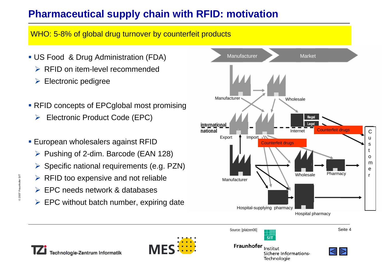# **Pharmaceutical supply chain with RFID: motivation**

WHO: 5-8% of global drug turnover by counterfeit products

- US Food & Drug Administration (FDA)
	- **► RFID on item-level recommended**
	- $\triangleright$  Electronic pedigree
- RFID concepts of EPCglobal most promising
	- ¾ Electronic Product Code (EPC)
- European wholesalers against RFID
	- ¾ Pushing of 2-dim. Barcode (EAN 128)
	- ¾ Specific national requirements (e.g. PZN)
	- $\triangleright$  RFID too expensive and not reliable
	- ¾ EPC needs network & databases
	- $\triangleright$  EPC without batch number, expiring date



Source: [platzen06]



Seite 4





Fechnologie-Zentrum Informatik



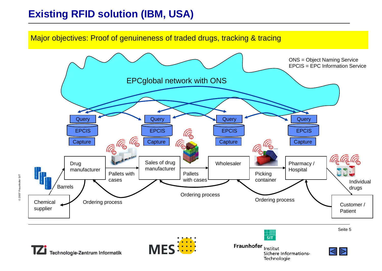# **Existing RFID solution (IBM, USA)**

Major objectives: Proof of genuineness of traded drugs, tracking & tracing



Technologie-Zentrum Informatik

© 2007 Fraunhofer SIT 2007 Fraunhofer SIT



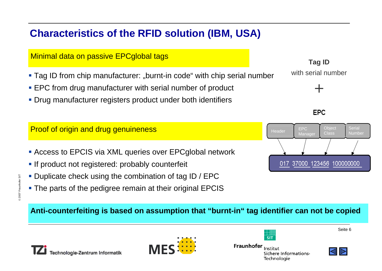# **Characteristics of the RFID solution (IBM, USA)**

#### Minimal data on passive EPCglobal tags

- **Tag ID from chip manufacturer:** "burnt-in code" with chip serial number
- EPC from drug manufacturer with serial number of product
- Drug manufacturer registers product under both identifiers

- Access to EPCIS via XML queries over EPCglobal network
- **If product not registered: probably counterfeit**
- **Duplicate check using the combination of tag ID / EPC**
- The parts of the pedigree remain at their original EPCIS

#### **Tag ID** with serial number

**EPC** 

+



**Anti-counterfeiting is based on assumption that "burnt-in" tag identifier can not be copied** 







⊥⊞<br>ऽ।T

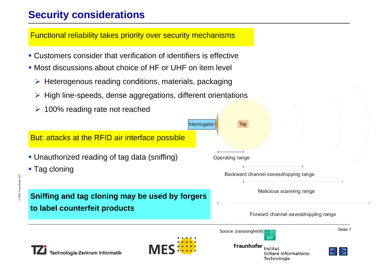# **Security considerations**

Functional reliability takes priority over security mechanisms

- Customers consider that verification of identifiers is effective
- Most discussions about choice of HF or UHF on item level
	- ¾ Heterogenous reading conditions, materials, packaging
	- ¾ High line-speeds, dense aggregations, different orientations
	- $\triangleright$  100% reading rate not reached

But: attacks at the RFID air interface possible

- Unauthorized reading of tag data (sniffing)
- Tag cloning

**Sniffing and tag cloning may be used by forgers to label counterfeit products**

Operating range

Interrogator

Tag

Backward channel eavesdropping range

Malicious scanning range

Forward channel eavesdropping range

Source: [ranasinghe06]





Fraunhofer Institut Sichere Informations-Technologie

**SIT** 

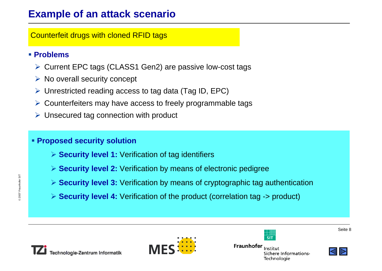#### **Example of an attack scenario**

Counterfeit drugs with cloned RFID tags

#### **Problems**

- ¾ Current EPC tags (CLASS1 Gen2) are passive low-cost tags
- $\triangleright$  No overall security concept
- ¾ Unrestricted reading access to tag data (Tag ID, EPC)
- ¾ Counterfeiters may have access to freely programmable tags
- $\triangleright$  Unsecured tag connection with product

#### **Proposed security solution**

- ¾ **Security level 1:** Verification of tag identifiers
- ¾ **Security level 2:** Verification by means of electronic pedigree
- ¾ **Security level 3:** Verification by means of cryptographic tag authentication
- ¾ **Security level 4:** Verification of the product (correlation tag -> product)





†∰<br>SIT

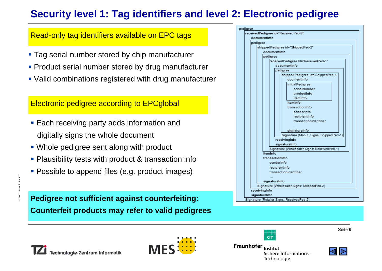# **Security level 1: Tag identifiers and level 2: Electronic pedigree**

#### Read-only tag identifiers available on EPC tags

- Tag serial number stored by chip manufacturer
- **Product serial number stored by drug manufacturer**
- Valid combinations registered with drug manufacturer

#### Electronic pedigree according to EPCglobal

- **Each receiving party adds information and** digitally signs the whole document
- Whole pedigree sent along with product
- **Plausibility tests with product & transaction info**
- Possible to append files (e.g. product images)

#### **Pedigree not sufficient against counterfeiting: Counterfeit products may refer to valid pedigrees**

| pedigree                                    |
|---------------------------------------------|
| receivedPedigree id="ReceivedPed-2"         |
| documentInfo                                |
| pedigree                                    |
| shippedPedigree id="ShippedPed-2"           |
| documentInfo                                |
| pedigree                                    |
| receivedPedigree Id="ReceivedPed-1"         |
| documentInfo                                |
| pedigree                                    |
| shippedPedigree Id="ShippedPed-1"           |
| docmentinfo                                 |
| initialPedigree                             |
| serialNumber                                |
| productinfo                                 |
| itemInfo                                    |
| itemInfo                                    |
| transactionInfo                             |
| senderInfo                                  |
| recipientInfo                               |
| transactionIdentifier                       |
|                                             |
| signatureInfo                               |
| Signature (Manuf. Signs: ShippedPed-1)      |
| receivingInfo                               |
| signatureInfo                               |
| Signature (Wholesaler Signs: ReceivedPed-1) |
| itemInfo                                    |
| transactionInfo                             |
| senderInfo                                  |
| recipientInfo                               |
| transactionIdentifier                       |
|                                             |
| signatureInfo                               |
| Signature (Wholesaler Signs: ShippedPed-2)  |
| receivingInfo                               |
| signatureInfo                               |
| Signature (Retailer Signs: ReceivedPed-2)   |





Fraunhofer Institut Sichere Informations-Technologie

 $\frac{1}{\mathsf{SIT}}$ 



Seite 9

© 2007 Fraunhofer SIT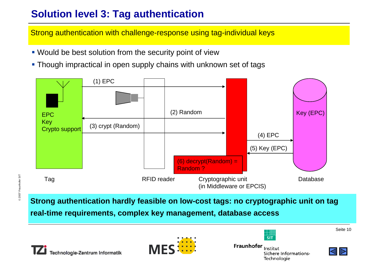# **Solution level 3: Tag authentication**

Strong authentication with challenge-response using tag-individual keys

- Would be best solution from the security point of view
- Though impractical in open supply chains with unknown set of tags



**Strong authentication hardly feasible on low-cost tags: no cryptographic unit on tag**

**real-time requirements, complex key management, database access** 





Fraunhofer Institut Sichere Informations-Technologie

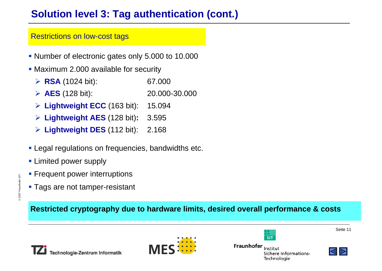# **Solution level 3: Tag authentication (cont.)**

#### Restrictions on low-cost tags

- Number of electronic gates only 5.000 to 10.000
- **Maximum 2.000 available for security** 
	- ¾ **RSA** (1024 bit): 67.000
	- ¾ **AES** (128 bit): 20.000-30.000
	- ¾ **Lightweight ECC** (163 bit): 15.094
	- ¾ **Lightweight AES** (128 bit)**:** 3.595
	- ¾ **Lightweight DES** (112 bit): 2.168
- **Legal regulations on frequencies, bandwidths etc.**
- **Example Limited power supply**

© 2007 Fraunhofer SIT 2007 Fraunhofer SIT

- **Frequent power interruptions**
- **Tags are not tamper-resistant**

**Restricted cryptography due to hardware limits, desired overall performance & costs**





Fraunhofer Institut Sichere Informations-Technologie

 $\frac{1}{\mathsf{SIT}}$ 

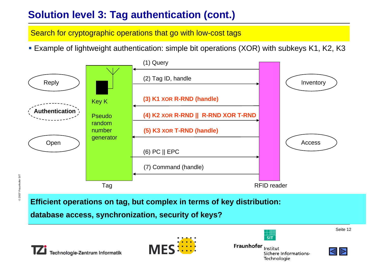# **Solution level 3: Tag authentication (cont.)**

Search for cryptographic operations that go with low-cost tags

Example of lightweight authentication: simple bit operations (XOR) with subkeys K1, K2, K3



**Efficient operations on tag, but complex in terms of key distribution:** 

**database access, synchronization, security of keys?**





Fraunhofer Institut Sichere Informations-Technologie

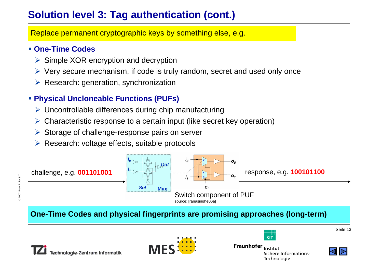# **Solution level 3: Tag authentication (cont.)**

Replace permanent cryptographic keys by something else, e.g.

#### **One-Time Codes**

- $\triangleright$  Simple XOR encryption and decryption
- ¾ Very secure mechanism, if code is truly random, secret and used only once
- $\triangleright$  Research: generation, synchronization

#### **Physical Uncloneable Functions (PUFs)**

- $\triangleright$  Uncontrollable differences during chip manufacturing
- $\triangleright$  Characteristic response to a certain input (like secret key operation)
- ¾ Storage of challenge-response pairs on server
- ¾ Research: voltage effects, suitable protocols



#### **One-Time Codes and physical fingerprints are promising approaches (long-term)**





Fraunhofer Institut Sichere Informations-Technologie

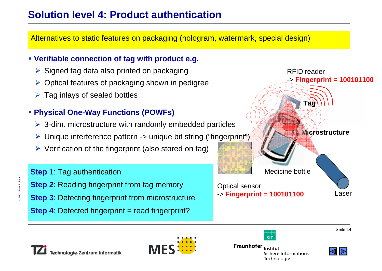## **Solution level 4: Product authentication**

Alternatives to static features on packaging (hologram, watermark, special design)

#### **Verifiable connection of tag with product e.g.**

- $\triangleright$  Signed tag data also printed on packaging
- $\triangleright$  Optical features of packaging shown in pedigree
- $\triangleright$  Tag inlays of sealed bottles

#### **Physical One-Way Functions (POWFs)**

- $\triangleright$  3-dim. microstructure with randomly embedded particles
- ► Unique interference pattern -> unique bit string ("fingerprint")
- $\triangleright$  Verification of the fingerprint (also stored on tag)







2007 Fraunhofer SIT 2007 Fraunhofer SIT



Fraunhofer Institut Sichere Informations-Technologie

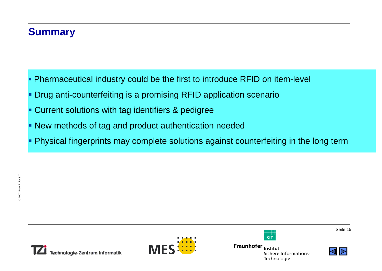#### **Summary**

- Pharmaceutical industry could be the first to introduce RFID on item-level
- Drug anti-counterfeiting is a promising RFID application scenario
- **Current solutions with tag identifiers & pedigree**
- New methods of tag and product authentication needed
- Physical fingerprints may complete solutions against counterfeiting in the long term





Fraunhofer Institut Sichere Informations-Technologie

 $\frac{1}{\mathsf{SIT}}$